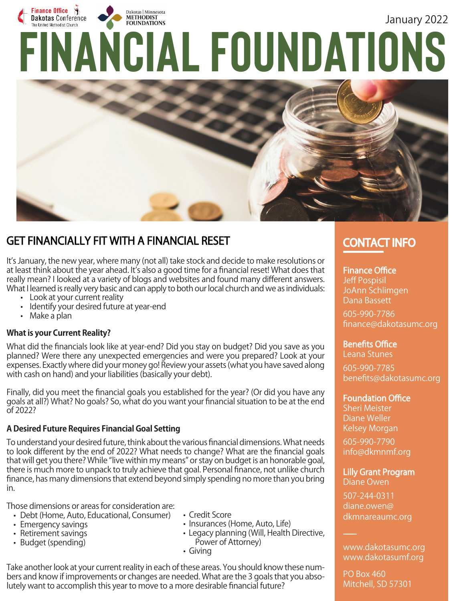



# GET FINANCIALLY FIT WITH A FINANCIAL RESET **EXAMPLE 20 CONTACT INFO**

It's January, the new year, where many (not all) take stock and decide to make resolutions or at least think about the year ahead. It's also a good time for a financial reset! What does that really mean? I looked at a variety of blogs and websites and found many different answers. What I learned is really very basic and can apply to both our local church and we as individuals:

- Look at your current reality
	-
	- Identify your desired future at year-end
	- Make a plan

## **What is your Current Reality?**

What did the financials look like at year-end? Did you stay on budget? Did you save as you planned? Were there any unexpected emergencies and were you prepared? Look at your expenses. Exactly where did your money go! Review your assets (what you have saved along with cash on hand) and your liabilities (basically your debt).

Finally, did you meet the financial goals you established for the year? (Or did you have any goals at all?) What? No goals? So, what do you want your financial situation to be at the end of 2022?

# **A Desired Future Requires Financial Goal Setting**

To understand your desired future, think about the various financial dimensions. What needs to look different by the end of 2022? What needs to change? What are the financial goals that will get you there? While "live within my means" or stay on budget is an honorable goal, there is much more to unpack to truly achieve that goal. Personal finance, not unlike church finance, has many dimensions that extend beyond simply spending no more than you bring in.

Those dimensions or areas for consideration are:

- Debt (Home, Auto, Educational, Consumer) • Emergency savings
- Retirement savings
- Budget (spending)
- Credit Score
- Insurances (Home, Auto, Life)
- Legacy planning (Will, Health Directive, Power of Attorney)
- Giving

Take another look at your current reality in each of these areas. You should know these numbers and know if improvements or changes are needed. What are the 3 goals that you absolutely want to accomplish this year to move to a more desirable financial future?

# **Finance Office** Jeff Pospisil

JoAnn Schlimgen Dana Bassett

605-990-7786 finance@dakotasumc.org

# **Benefits Office**

Leana Stunes 605-990-7785 benefits@dakotasumc.org

# **Foundation Office**

Sheri Meister Diane Weller Kelsey Morgan

605-990-7790 info@dkmnmf.org

### Lilly Grant Program Diane Owen

507-244-0311 diane.owen@ dkmnareaumc.org

www.dakotasumc.org www.dakotasumf.org

PO Box 460 Mitchell, SD 57301